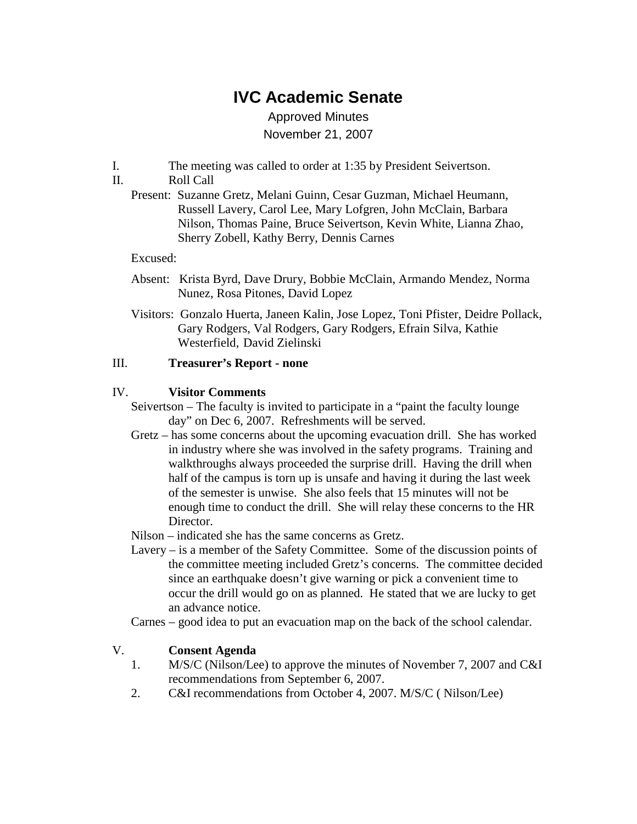# **IVC Academic Senate**

Approved Minutes November 21, 2007

- I. The meeting was called to order at 1:35 by President Seivertson.
- II. Roll Call
	- Present: Suzanne Gretz, Melani Guinn, Cesar Guzman, Michael Heumann, Russell Lavery, Carol Lee, Mary Lofgren, John McClain, Barbara Nilson, Thomas Paine, Bruce Seivertson, Kevin White, Lianna Zhao, Sherry Zobell, Kathy Berry, Dennis Carnes

#### Excused:

- Absent: Krista Byrd, Dave Drury, Bobbie McClain, Armando Mendez, Norma Nunez, Rosa Pitones, David Lopez
- Visitors: Gonzalo Huerta, Janeen Kalin, Jose Lopez, Toni Pfister, Deidre Pollack, Gary Rodgers, Val Rodgers, Gary Rodgers, Efrain Silva, Kathie Westerfield, David Zielinski

#### III. **Treasurer's Report - none**

#### IV. **Visitor Comments**

- Seivertson The faculty is invited to participate in a "paint the faculty lounge day" on Dec 6, 2007. Refreshments will be served.
- Gretz has some concerns about the upcoming evacuation drill. She has worked in industry where she was involved in the safety programs. Training and walkthroughs always proceeded the surprise drill. Having the drill when half of the campus is torn up is unsafe and having it during the last week of the semester is unwise. She also feels that 15 minutes will not be enough time to conduct the drill. She will relay these concerns to the HR Director.
- Nilson indicated she has the same concerns as Gretz.
- Lavery is a member of the Safety Committee. Some of the discussion points of the committee meeting included Gretz's concerns. The committee decided since an earthquake doesn't give warning or pick a convenient time to occur the drill would go on as planned. He stated that we are lucky to get an advance notice.

Carnes – good idea to put an evacuation map on the back of the school calendar.

#### V. **Consent Agenda**

- 1. M/S/C (Nilson/Lee) to approve the minutes of November 7, 2007 and C&I recommendations from September 6, 2007.
- 2. C&I recommendations from October 4, 2007. M/S/C ( Nilson/Lee)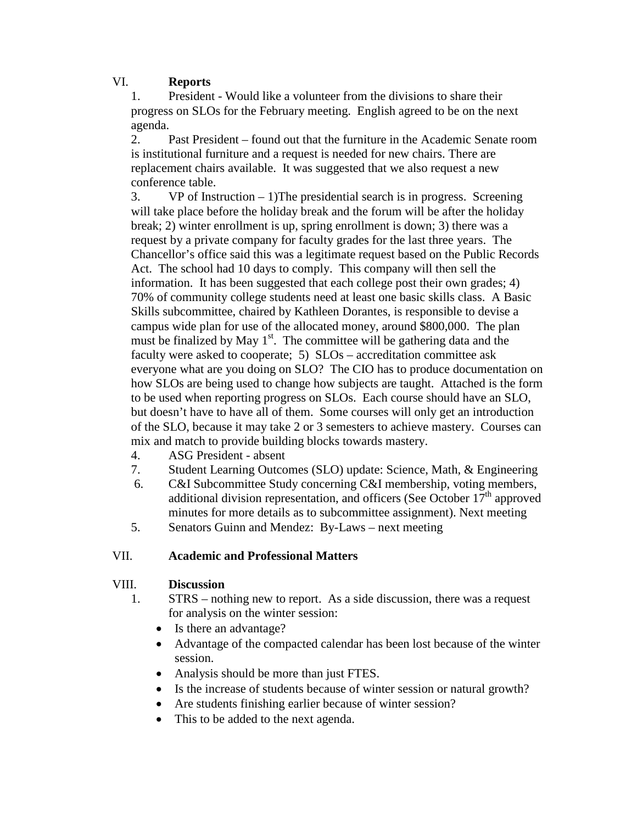### VI. **Reports**

1. President - Would like a volunteer from the divisions to share their progress on SLOs for the February meeting. English agreed to be on the next agenda.

2. Past President – found out that the furniture in the Academic Senate room is institutional furniture and a request is needed for new chairs. There are replacement chairs available. It was suggested that we also request a new conference table.

3. VP of Instruction  $-1$ )The presidential search is in progress. Screening will take place before the holiday break and the forum will be after the holiday break; 2) winter enrollment is up, spring enrollment is down; 3) there was a request by a private company for faculty grades for the last three years. The Chancellor's office said this was a legitimate request based on the Public Records Act. The school had 10 days to comply. This company will then sell the information. It has been suggested that each college post their own grades; 4) 70% of community college students need at least one basic skills class. A Basic Skills subcommittee, chaired by Kathleen Dorantes, is responsible to devise a campus wide plan for use of the allocated money, around \$800,000. The plan must be finalized by May 1<sup>st</sup>. The committee will be gathering data and the faculty were asked to cooperate; 5) SLOs – accreditation committee ask everyone what are you doing on SLO? The CIO has to produce documentation on how SLOs are being used to change how subjects are taught. Attached is the form to be used when reporting progress on SLOs. Each course should have an SLO, but doesn't have to have all of them. Some courses will only get an introduction of the SLO, because it may take 2 or 3 semesters to achieve mastery. Courses can mix and match to provide building blocks towards mastery.

- 4. ASG President absent
- 7. Student Learning Outcomes (SLO) update: Science, Math, & Engineering
- 6. C&I Subcommittee Study concerning C&I membership, voting members, additional division representation, and officers (See October  $17<sup>th</sup>$  approved minutes for more details as to subcommittee assignment). Next meeting
- 5. Senators Guinn and Mendez: By-Laws next meeting

#### VII. **Academic and Professional Matters**

## VIII. **Discussion**

- 1. STRS nothing new to report. As a side discussion, there was a request for analysis on the winter session:
	- Is there an advantage?
	- Advantage of the compacted calendar has been lost because of the winter session.
	- Analysis should be more than just FTES.
	- Is the increase of students because of winter session or natural growth?
	- Are students finishing earlier because of winter session?
	- This to be added to the next agenda.